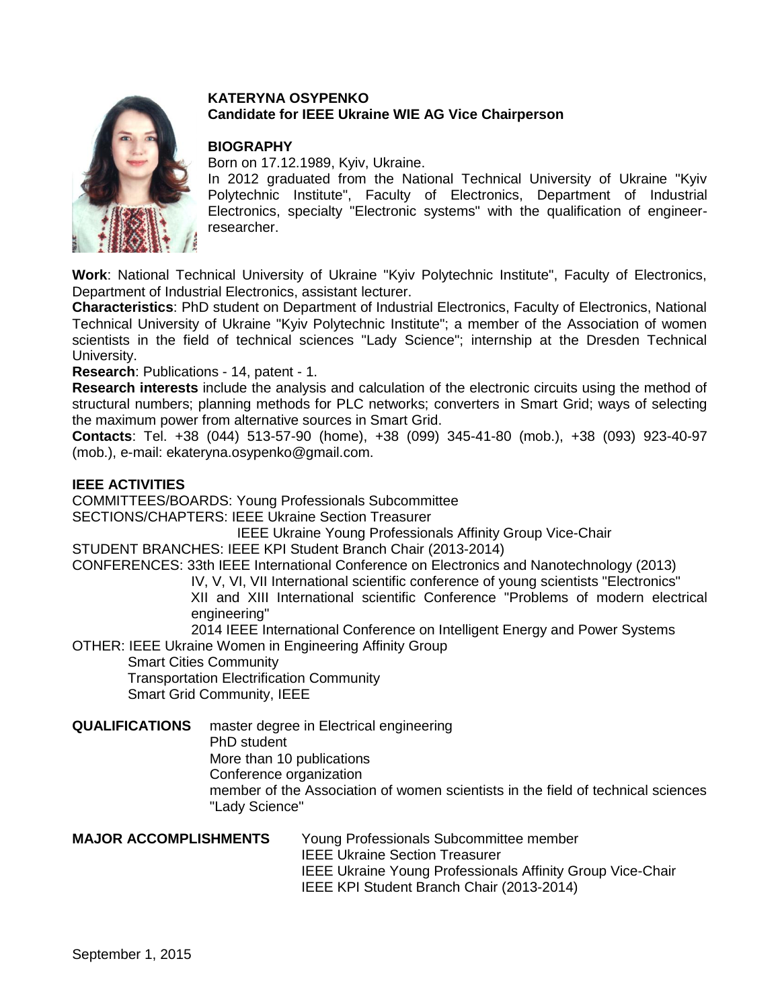

# **KATERYNA OSYPENKO Candidate for IEEE Ukraine WIE AG Vice Chairperson**

# **BIOGRAPHY**

Born on 17.12.1989, Kyiv, Ukraine.

In 2012 graduated from the National Technical University of Ukraine "Kyiv Polytechnic Institute", Faculty of Electronics, Department of Industrial Electronics, specialty "Electronic systems" with the qualification of engineerresearcher.

**Work**: National Technical University of Ukraine "Kyiv Polytechnic Institute", Faculty of Electronics, Department of Industrial Electronics, assistant lecturer.

**Characteristics**: PhD student on Department of Industrial Electronics, Faculty of Electronics, National Technical University of Ukraine "Kyiv Polytechnic Institute"; a member of the Association of women scientists in the field of technical sciences "Lady Science"; internship at the Dresden Technical University.

**Research**: Publications - 14, patent - 1.

**Research interests** include the analysis and calculation of the electronic circuits using the method of structural numbers; planning methods for PLC networks; converters in Smart Grid; ways of selecting the maximum power from alternative sources in Smart Grid.

**Contacts**: Tel. +38 (044) 513-57-90 (home), +38 (099) 345-41-80 (mob.), +38 (093) 923-40-97 (mob.), e-mail: ekateryna.osypenko@gmail.com.

### **IEEE ACTIVITIES**

COMMITTEES/BOARDS: Young Professionals Subcommittee SECTIONS/CHAPTERS: IEEE Ukraine Section Treasurer

IEEE Ukraine Young Professionals Affinity Group Vice-Chair

STUDENT BRANCHES: IEEE KPI Student Branch Chair (2013-2014)

CONFERENCES: 33th IEEE International Conference on Electronics and Nanotechnology (2013)

 IV, V, VI, VII International scientific conference of young scientists "Electronics" XII and XIII International scientific Conference "Problems of modern electrical

engineering"

 2014 IEEE International Conference on Intelligent Energy and Power Systems OTHER: IEEE Ukraine Women in Engineering Affinity Group

Smart Cities Community

Transportation Electrification Community

Smart Grid Community, IEEE

**QUALIFICATIONS** master degree in Electrical engineering

PhD student

More than 10 publications

Conference organization

member of the Association of women scientists in the field of technical sciences "Lady Science"

**MAJOR ACCOMPLISHMENTS** Young Professionals Subcommittee member IEEE Ukraine Section Treasurer IEEE Ukraine Young Professionals Affinity Group Vice-Chair IEEE KPI Student Branch Chair (2013-2014)